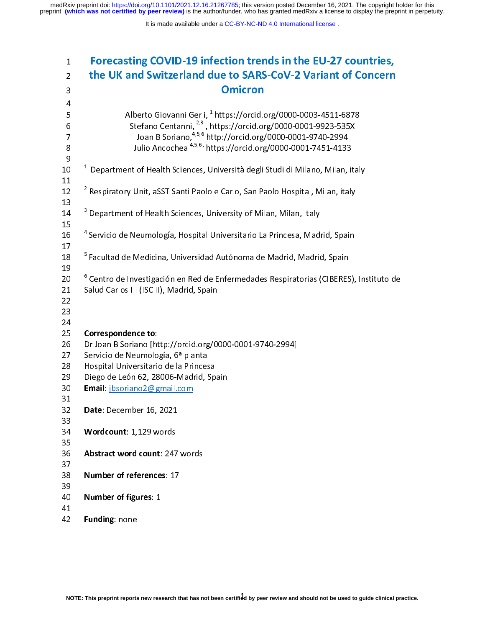medRxiv preprint doi: [https://doi.org/10.1101/2021.12.16.21267785;](https://doi.org/10.1101/2021.12.16.21267785) this version posted December 16, 2021. The copyright holder for this<br>preprint (which was not certified by peer review) is the author/funder, who has grante

| $\mathbf{1}$                                                                                                                          | Forecasting COVID-19 infection trends in the EU-27 countries,                                     |
|---------------------------------------------------------------------------------------------------------------------------------------|---------------------------------------------------------------------------------------------------|
| $\overline{2}$                                                                                                                        | the UK and Switzerland due to SARS-CoV-2 Variant of Concern                                       |
| 3                                                                                                                                     | <b>Omicron</b>                                                                                    |
| 4                                                                                                                                     |                                                                                                   |
| 5                                                                                                                                     | Alberto Giovanni Gerli, <sup>1</sup> https://orcid.org/0000-0003-4511-6878                        |
| 6                                                                                                                                     | Stefano Centanni, <sup>2,3</sup> , https://orcid.org/0000-0001-9923-535X                          |
| 7                                                                                                                                     | Joan B Soriano, <sup>4,5,6</sup> http://orcid.org/0000-0001-9740-2994                             |
| $\,8\,$                                                                                                                               | Julio Ancochea <sup>4,5,6,</sup> https://orcid.org/0000-0001-7451-4133                            |
| $\boldsymbol{9}$                                                                                                                      |                                                                                                   |
| 10                                                                                                                                    | $^1$ Department of Health Sciences, Università degli Studi di Milano, Milan, italy                |
| 11                                                                                                                                    |                                                                                                   |
| 12                                                                                                                                    | <sup>2</sup> Respiratory Unit, aSST Santi Paolo e Carlo, San Paolo Hospital, Milan, italy         |
| 13                                                                                                                                    |                                                                                                   |
| 14                                                                                                                                    | <sup>3</sup> Department of Health Sciences, University of Milan, Milan, Italy                     |
| 15<br>16                                                                                                                              | <sup>4</sup> Servicio de Neumología, Hospital Universitario La Princesa, Madrid, Spain            |
| 17                                                                                                                                    |                                                                                                   |
| 18                                                                                                                                    | <sup>5</sup> Facultad de Medicina, Universidad Autónoma de Madrid, Madrid, Spain                  |
| 19                                                                                                                                    |                                                                                                   |
| 20                                                                                                                                    | <sup>6</sup> Centro de Investigación en Red de Enfermedades Respiratorias (CIBERES), Instituto de |
| 21                                                                                                                                    | Salud Carlos III (ISCIII), Madrid, Spain                                                          |
| 22                                                                                                                                    |                                                                                                   |
| 23                                                                                                                                    |                                                                                                   |
| 24                                                                                                                                    |                                                                                                   |
| 25                                                                                                                                    | Correspondence to:                                                                                |
| 26                                                                                                                                    | Dr Joan B Soriano [http://orcid.org/0000-0001-9740-2994]                                          |
| 27                                                                                                                                    | Servicio de Neumología, 6ª planta                                                                 |
| 28                                                                                                                                    | Hospital Universitario de la Princesa                                                             |
| 29                                                                                                                                    | Diego de León 62, 28006-Madrid, Spain                                                             |
| 30                                                                                                                                    | Email jbsoriano2@gmail.com                                                                        |
| 31                                                                                                                                    |                                                                                                   |
| 32                                                                                                                                    | Date: December 16, 2021                                                                           |
| 33                                                                                                                                    |                                                                                                   |
| 34                                                                                                                                    | Wordcount: 1,129 words                                                                            |
| 35<br>36                                                                                                                              | Abstract word count: 247 words                                                                    |
| 37                                                                                                                                    |                                                                                                   |
| 38                                                                                                                                    | Number of references: 17                                                                          |
| 39                                                                                                                                    |                                                                                                   |
| 40                                                                                                                                    | Number of figures: 1                                                                              |
| 41                                                                                                                                    |                                                                                                   |
| 42                                                                                                                                    | Funding: none                                                                                     |
|                                                                                                                                       |                                                                                                   |
|                                                                                                                                       |                                                                                                   |
|                                                                                                                                       |                                                                                                   |
|                                                                                                                                       |                                                                                                   |
|                                                                                                                                       |                                                                                                   |
|                                                                                                                                       |                                                                                                   |
| NOTE: This preprint reports new research that has not been certified by peer review and should not be used to guide clinical praction |                                                                                                   |
|                                                                                                                                       |                                                                                                   |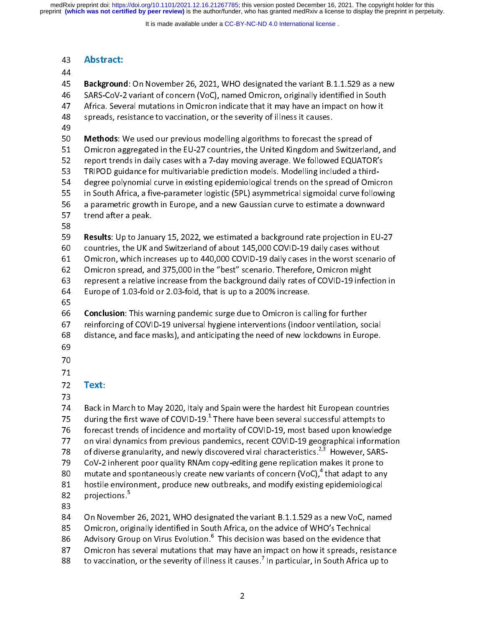preprint **(which was not certified by peer review)** is the author/funder, who has granted medRxiv a license to display the preprint in perpetuity. medRxiv preprint doi: [https://doi.org/10.1101/2021.12.16.21267785;](https://doi.org/10.1101/2021.12.16.21267785) this version posted December 16, 2021. The copyright holder for this

It is made available under a CC-BY-NC-ND 4.0 International license.

44<br>45 **Background**<br>46 SARS-CoV-2<br>47 Africa. Seve<br>48 spreads, res<br>50 **Methods**: V<br>51 Omicron ag<br>52 report trend 45<br>46<br>48<br>49<br>50<br>51<br>52<br>53 Background: On November 20, 2021, Who designated the variant B.1.1.529 as a new<br>
46 SARS-CoV-2 variant of concern (VoC), named Omicron, originally identified in South<br>
47 Africa. Several mutations in Omicron indicate that Africa. Several mutations in Omicron indicate that it may have an impact on how it<br>spreads, resistance to vaccination, or the severity of illness it causes.<br>49<br>**Methods**: We used our previous modelling algorithms to foreca spreads, resistance to vaccination, or the severity of illness it causes.<br>
49<br> **Methods**: We used our previous modelling algorithms to forecast the spread of<br>
51 Omicron aggregated in the EU-27 countries, the United Kingdo Methods: We used our previous modelling algorithms to forecast the<br>
51 Methods: We used our previous modelling algorithms to forecast the<br>
51 Omicron aggregated in the EU-27 countries, the United Kingdom and<br>
52 report tre 49 Somethions: We used our previous inducting algorithms to forecast the spread of<br>51 Omicron aggregated in the EU-27 countries, the United Kingdom and Switzerlan<br>52 report trends in daily cases with a 7-day moving average. W For the EU-27 omit in the UK and Switzerland of about 145,000 COVID-19 daily cases without<br>the EQUATOR's<br>TRIPOD guidance for multivariable prediction models. Modelling included a third-<br>degree polynomial curve in existing TRIPOD guidance for multivariable prediction models. Modelling included a third-<br>
154 degree polynomial curve in existing epidemiological trends on the spread of Omicro<br>
155 in South Africa, a five-parameter logistic (5PL) 62 Omicron spread, and 375,000 in the "best" scenario. Therefore, Omicron might in South Africa, a five-parameter logistic (5PL) asymmetrical sigmoidal curve following<br>
55 in South Africa, a five-parameter logistic (5PL) asymmetrical sigmoidal curve following<br>
56 a parametric growth in Europe, and a n EXECTE ISLEM THE MERTIFY AFRICAL SERVICE AND THE MERTIFY AND THE AFRICATE A first a peak.<br>
The aparametric growth in Europe, and a new Gaussian curve to estimate a downward<br>
The sults: Up to January 15, 2022, we estimated 57 trend after a peak.<br>
58 **Results**: Up to January 15, 2022, we estimated a background rate projection in EU-2<br>
59 **Results**: Up to January 15, 2022, we estimated a background rate projection in EU-2<br>
50 countries, the UK 58<br>
59 **Results**: Up to Janu<br>
60 countries, the UK a<br>
61 Omicron, which inc<br>
62 Omicron spread, are<br>
63 represent a relative<br>
64 Europe of 1.03-fold<br>
65 **Conclusion**: This was 59<br>60<br>61<br>62<br>63<br>65<br>65<br>67 Example 19 Results: Up to January 15, 2022, we estimated a background rate projection in EU-27<br>
countries, the UK and Switzerland of about 145,000 COVID-19 daily cases without<br>
Omicron, which increases up to 440,000 COVID-61 Comicron, which increases up to 440,000 COVID-19 daily cases in the worst scenari<br>62 Comicron spread, and 375,000 in the "best" scenario. Therefore, Omicron might<br>63 represent a relative increase from the background dai 62 Omicron spread, and 375,000 in the "best" scenario. Therefore, Omicron might<br>63 represent a relative increase from the background daily rates of COVID-19 infection in<br>64 Europe of 1.03-fold or 2.03-fold, that is up to a France of Same present a relative increase from the background daily rates of COVID-19 infectors of COVID-19 infectors of Same paralomic surge due to 200% increase.<br> **Conclusion**: This warning pandemic surge due to Omicron Europe of 1.03-fold or 2.03-fold, that is up to a 200% increase.<br>
65<br> **Conclusion**: This warning pandemic surge due to Omicron is calling for further<br>
reinforcing of COVID-19 universal hygiene interventions (indoor ventila 65<br>66 **Conclusion**: This warning pandemic surge due to Omicron is ca<br>67 reinforcing of COVID-19 universal hygiene interventions (indoo<br>68 distance, and face masks), and anticipating the need of new loc<br>69<br>70<br>71<br>**Text**: 6676890172377 For Conclusion: This warning pandemic surge due to Omicron's calling for further<br>
for Treinforcing of COVID-19 universal hygiene interventions (indoor ventilation, so<br>
distance, and face masks), and anticipating the need o 68 distance, and face masks), and anticipating the need of new lockdowns in Europe.<br>69<br>70<br>71 **Text:**<br>73 Back in March to May 2020, Italy and Spain were the hardest hit European countril<br>75 during the first wave of COVID-1 For the standard masks), and anticipating the need of need of need of need of need of need of need of need of need of need of need of need of need of need of new lock downs in The new lock of need of new lock of need of ne 70<br>71<br>72<br>73<br>74<br>75<br>75<br>7<br>7<br>7<br>7<br>7<br>7<br>7<br>1 . 71 72 73 74 75 76 77 78 79<br>77 77 77 77 77 79 72<br>73<br>75<br>75<br>77<br>79<br>80<br>80 73<br>74 Back ir<br>75 during<br>75 foreca<br>77 on vira<br>78 CoV-2<br>80 mutatu<br>81 hostile 74 75 76 77 78 79 80 81 82 25 during the first wave of COVID-19.<sup>1</sup> There have been several successful attempts to<br>
2020 forecast trends of incidence and mortality of COVID-19, most based upon knowledge<br>
2020 on viral dynamics from previous pandemi during the first wave of COVID-19.<sup>2</sup> There have been several successful attempts to<br>
forecast trends of incidence and mortality of COVID-19, most based upon knowledg<br>
on viral dynamics from previous pandemics, recent COV on viral dynamics from previous pandemics, recent COVID-19 geographical informatic<br>
78 of diverse granularity, and newly discovered viral characteristics.<sup>2,3</sup> However, SARS-<br>
79 CoV-2 inherent poor quality RNAm copy-editi 78 of diverse granularity, and newly discovered viral characteristics.<sup>2,3</sup> However, SARS-<br>
CoV-2 inherent poor quality RNAm copy-editing gene replication makes it prone to<br>
mutate and spontaneously create new variants of of diverse granularity, and newly discovered viral characteristics.<sup>25</sup> However, SARS-<br>CoV-2 inherent poor quality RNAm copy-editing gene replication makes it prone to<br>80 mutate and spontaneously create new variants of co mutate and spontaneously create new variants of concern (VoC),<sup>4</sup> that adapt to any<br>
81 hostile environment, produce new outbreaks, and modify existing epidemiological<br>
82 projections.<sup>5</sup><br>
83 On November 26, 2021, WHO desi mutate and spontaneously create new variants of concern (VoC),<sup>+</sup> that adapt to any<br>
hostile environment, produce new outbreaks, and modify existing epidemiological<br>
projections.<sup>5</sup><br>
On November 26, 2021, WHO designated th

82 projections.<sup>5</sup><br>83<br>84 On November 26, 2021, WHO designated the variant B.1.1.529 as a new VoC, name<br>85 Omicron, originally identified in South Africa, on the advice of WHO's Technical<br>86 Advisory Group on Virus Evolutio 82 projections."<br>83<br>84 On Novembe<br>85 Omicron, ori<br>86 Advisory Gro<br>87 Omicron has<br>88 to vaccinatio - 84<br>84<br>85<br>86<br>87 Omicron, originally identified in South Africa, on the advice of WHO's Technical<br>
86 Advisory Group on Virus Evolution.<sup>6</sup> This decision was based on the evidence that<br>
87 Omicron has several mutations that may have an imp 86 Advisory Group on Virus Evolution.<sup>6</sup> This decision was based on the evidence th<br>
87 Omicron has several mutations that may have an impact on how it spreads, resi<br>
88 to vaccination, or the severity of illness it cause 86 Advisory Group on Virus Evolution.° This decision was based on the evidence that<br>87 Omicron has several mutations that may have an impact on how it spreads, resista<br>88 to vaccination, or the severity of illness it cause

88 to vaccination, or the severity of illness it causes.<sup>7</sup> In particular, in South Africa up to  $\frac{1}{2}$ to vaccination, or the severity of illness it causes.' In particular, in South Africa up to  $\frac{2}{\sqrt{2}}$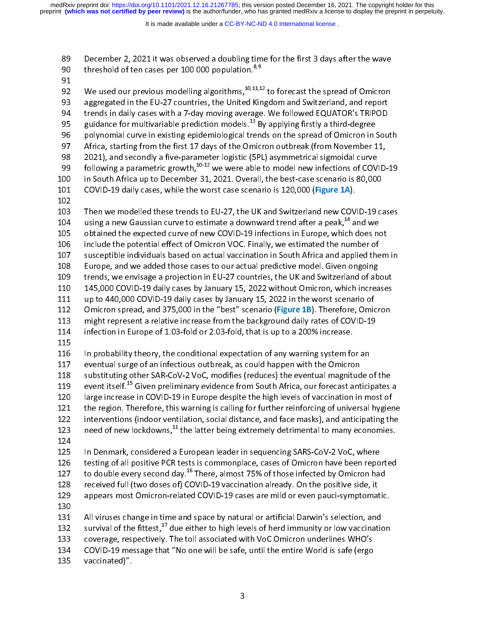preprint **(which was not certified by peer review)** is the author/funder, who has granted medRxiv a license to display the preprint in perpetuity. medRxiv preprint doi: [https://doi.org/10.1101/2021.12.16.21267785;](https://doi.org/10.1101/2021.12.16.21267785) this version posted December 16, 2021. The copyright holder for this

It is made available under a CC-BY-NC-ND 4.0 International license.

- 
- 
- threshold of ten cases per 100 000 population.<sup>8,9</sup><br>
91 We used our previous modelling algorithms,  $^{10,11,12}$  to forecast the spread of Omicron<br>
93 aggregated in the EU-27 countries, the United Kingdom and Switzerland, threshold of ten cases per 100 000 population.<sup>8,9</sup><br>
91<br>
92 We used our previous modelling algorithms,  $^{10,11,1}$ <br>
33 aggregated in the EU-27 countries, the United Kir<br>
194 trends in daily cases with a 7-day moving avera - 92<br>93<br>94<br>95<br>96<br>97<br>98<br>99 We used our previous modelling algorithms,  $\frac{1}{2}$ ,  $\frac{1}{2}$ ,  $\frac{1}{2}$  to forecast the spread of Omicron aggregated in the EU-27 countries, the United Kingdom and Switzerland, and report trends in daily cases with a 7 94 trends in daily cases with a 7-day moving average. We followed EQUATOR's TRIPOD<br>95 guidance for multivariable prediction models.<sup>13</sup> By applying firstly a third-degree<br>96 polynomial curve in existing epidemiological tr 95 guidance for multivariable prediction models.<sup>13</sup> By applying firstly a third-degree<br>96 polynomial curve in existing epidemiological trends on the spread of Omicron in Sou<br>97 Africa, starting from the first 17 days of guidance for multivariable prediction models.<sup>25</sup> By applying firstly a third-degree<br>
polynomial curve in existing epidemiological trends on the spread of Omicron in 1<br>
97 Africa, starting from the first 17 days of the Om 97 Africa, starting from the first 17 days of the Omicron outbreak (from November 11,<br>
98 2021), and secondly a five-parameter logistic (5PL) asymmetrical sigmoidal curve<br>
99 following a parametric growth,<sup>10-12</sup> we were 2021), and secondly a five-parameter logistic (5PL) asymmetrical sigmoidal curve<br>
99 Clowing a parametric growth,  $10^{-12}$  we were able to model new infections of COVID-<br>
10 in South Africa up to December 31, 2021. Overal 99 following a parametric growth,  $^{10-12}$  we were able to model new infections of COV<br>
100 in South Africa up to December 31, 2021. Overall, the best-case scenario is 80,000<br>
102 COVID-19 daily cases, while the worst ca following a parametric growth,<sup>20-22</sup> we were able to model new infections of COVID-19<br>
in South Africa up to December 31, 2021. Overall, the best-case scenario is 80,000<br>
COVID-19 daily cases, while the worst case scenar 101 COVID-19 daily cases, while the worst case scenario is 120,000 (Figure 1A).<br>
102<br>
103 Then we modelled these trends to EU-27, the UK and Switzerland new COVID-19 ca<br>
104 using a new Gaussian curve to estimate a downwar 101 COVID-19 daily cases, while the worst case scenario is 120,000 (Figure 1A).<br>
102 Then we modelled these trends to EU-27, the UK and Switzerland new COV<br>
104 using a new Gaussian curve to estimate a downward trend after 103<br>104<br>105<br>106<br>107<br>102<br>109<br>110<br>111 104 using a new Gaussian curve to estimate a downward trend after a peak,<sup>14</sup> and we<br>
105 obtained the expected curve of new COVID-19 infections in Europe, which does not<br>
106 include the potential effect of Omicron VOC. F using a new Gaussian curve to estimate a downward trend after a peak,<sup>24</sup> and we<br>
obtained the expected curve of new COVID-19 infections in Europe, which does no<br>
include the potential effect of Omicron VOC. Finally, we e include the potential effect of Omicron VOC. Finally, we estimated the number of<br>107 susceptible individuals based on actual vaccination in South Africa and applied them<br>108 Europe, and we added those cases to our actual p 107 susceptible individuals based on actual vaccination in South Africa and applied the<br>
108 Europe, and we added those cases to our actual predictive model. Given ongoing<br>
109 trends, we envisage a projection in EU-27 cou Europe, and we added those cases to our actual predictive model. Given ongoing<br>
109 trends, we envisage a projection in EU-27 countries, the UK and Switzerland of about<br>
110 145,000 COVID-19 daily cases by January 15, 2022 109 trends, we envisage a projection in EU-27 countries, the UK and Switzerland of ab<br>110 145,000 COVID-19 daily cases by January 15, 2022 without Omicron, which increa<br>111 up to 440,000 COVID-19 daily cases by January 15, 110 145,000 COVID-19 daily cases by January 15, 2022 without Omicron, which increases<br>111 15,000 COVID-19 daily cases by January 15, 2022 in the worst scenario of<br>112 0micron spread, and 375,000 in the "best" scenario (**Fi** 110 145,000 COVID-19 daily cases by January 15, 2022 without Omicron, which increases<br>
111 up to 440,000 COVID-19 daily cases by January 15, 2022 in the worst scenario of<br>
112 Omicron spread, and 375,000 in the "best" sce 112 Omicron spread, and 375,000 in the "best" scenario (**Figure 1B**). Therefore, Omic<br>
113 might represent a relative increase from the background daily rates of COVID-19<br>
114 infection in Europe of 1.03-fold or 2.03-fold 112 Omicion spread, and 375,000 in the "best" scenario (Figure 1B). Therefore, Omicion<br>113 might represent a relative increase from the background daily rates of COVID-19<br>114 infection in Europe of 1.03-fold or 2.03-fold, 114 infection in Europe of 1.03-fold or 2.03-fold, that is up to a 200% increase.<br>
115<br>
115 In probability theory, the conditional expectation of any warning system for an<br>
117 eventual surge of an infectious outbreak, as 115<br>
115 In probability theory, the conditional expectation of any warning system fo<br>
117 eventual surge of an infectious outbreak, as could happen with the Omicro<br>
118 substituting other SAR-CoV-2 VoC, modifies (reduces) 116<br>117<br>118<br>119<br>120<br>121<br>122<br>123<br>124 117 eventual surge of an infectious outbreak, as could happen with the Omicron<br>
118 substituting other SAR-CoV-2 VoC, modifies (reduces) the eventual magnitude of<br>
119 event itself.<sup>15</sup> Given preliminary evidence from Sou 118 substituting other SAR-CoV-2 VoC, modifies (reduces) the eventual magnitud<br>
119 event itself.<sup>15</sup> Given preliminary evidence from South Africa, our forecast ant<br>
120 large increase in COVID-19 in Europe despite the hi 119 event itself.<sup>15</sup> Given preliminary evidence from South Africa, our forecast anticipates<br>
120 large increase in COVID-19 in Europe despite the high levels of vaccination in most of<br>
121 the region. Therefore, this war event itself.<sup>25</sup> Given preliminary evidence from South Africa, our forecast anticipates a<br>120 large increase in COVID-19 in Europe despite the high levels of vaccination in most of<br>121 the region. Therefore, this warning 121 the region. Therefore, this warning is calling for further reinforcing of universal hygier<br>
122 interventions (indoor ventilation, social distance, and face masks), and anticipating th<br>
123 need of new lockdowns,<sup>11</sup> t 122 interventions (indoor ventilation, social distance, and face masks), and anticipating the<br>
123 need of new lockdowns,<sup>11</sup> the latter being extremely detrimental to many economies.<br>
124 nDenmark, considered a European 123 need of new lockdowns,<sup>11</sup> the latter being extremely detrimental to many economies.<br>
124<br>
125 In Denmark, considered a European leader in sequencing SARS-CoV-2 VoC, where<br>
126 testing of all positive PCR tests is comm need of new lockdowns,<sup>22</sup> the latter being extremely detrimental to many economies.<br>
124 In Denmark, considered a European leader in sequencing SARS-CoV-2 VoC, where<br>
125 In Denmark, considered a European leader in seque 125<br>126<br>127<br>128<br>129<br>131<br>132<br>133 126 testing of all positive PCR tests is commonplace, cases of Omicron have been repo<br>
127 to double every second day.<sup>16</sup> There, almost 75% of those infected by Omicron have<br>
128 received full (two doses of) COVID-19 vac
- 

127 to double every second day.<sup>16</sup> There, almost 75% of those infected by Omicron had<br>
128 received full (two doses of) COVID-19 vaccination already. On the positive side, it<br>
129 appears most Omicron-related COVID-19 ca to double every second day.<sup>25</sup> There, almost 75% of those infected by Omicron had<br>
128 received full (two doses of) COVID-19 vaccination already. On the positive side, it<br>
129 appears most Omicron-related COVID-19 cases 129 appears most Omicron-related COVID-19 cases are mild or even pauci-symptomat<br>
130<br>
131 All viruses change in time and space by natural or artificial Darwin's selection, and<br>
132 survival of the fittest, <sup>17</sup> due eithe 130<br>
131 All viruses change in time and space by natural or artificial Darwin's selection, and<br>
132 survival of the fittest,<sup>17</sup> due either to high levels of herd immunity or low vaccination<br>
133 coverage, respectively. T 131<br>132<br>133<br>134<br>135

132 survival of the fittest,<sup>17</sup> due either to high levels of herd immunity or low vaccinational<br>
133 coverage, respectively. The toll associated with VoC Omicron underlines WHO's<br>
134 COVID-19 message that "No one will b survival of the fittest,<sup>17</sup> due either to high levels of herd immunity or low vaccination<br>133 coverage, respectively. The toll associated with VoC Omicron underlines WHO's<br>134 COVID-19 message that "No one will be safe, u 134 COVID-19 message that "No one will be safe, until the entire World is safe (ergo<br>135 vaccinated)".<br>3 135 covid-19 message that "No one will be safe, until the entire World is safe. Until the entire World is safe (ergon).

135 vaccinated)".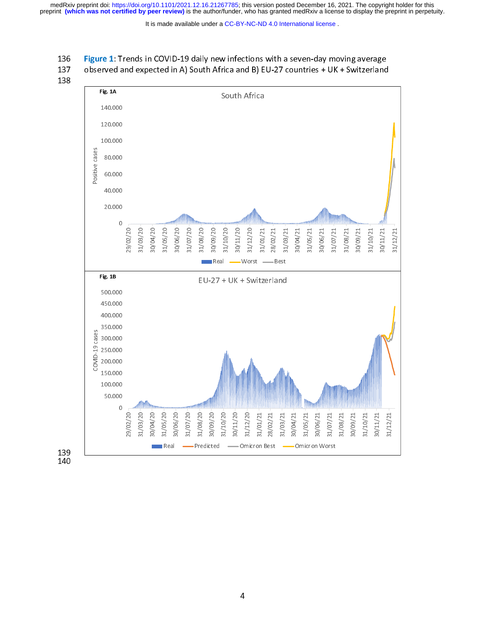medRxiv preprint doi: [https://doi.org/10.1101/2021.12.16.21267785;](https://doi.org/10.1101/2021.12.16.21267785) this version posted December 16, 2021. The copyright holder for this<br>preprint (which was not certified by peer review) is the author/funder, who has grante

It is made available under a [CC-BY-NC-ND 4.0 International license](http://creativecommons.org/licenses/by-nc-nd/4.0/) .

- 
- 
- 

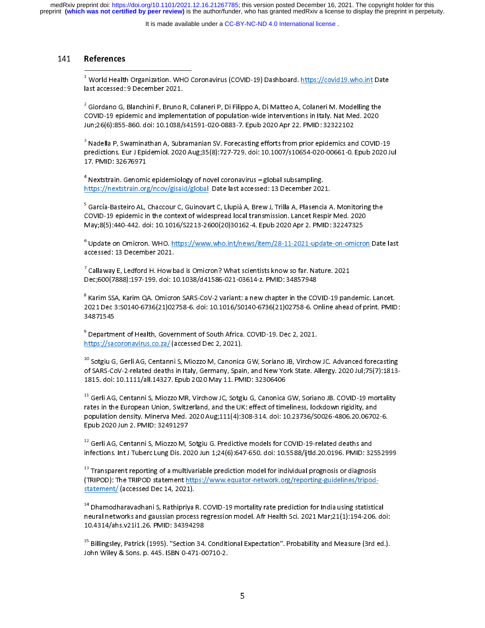preprint **(which was not certified by peer review)** is the author/funder, who has granted medRxiv a license to display the preprint in perpetuity. medRxiv preprint doi: [https://doi.org/10.1101/2021.12.16.21267785;](https://doi.org/10.1101/2021.12.16.21267785) this version posted December 16, 2021. The copyright holder for this

It is made available under a [CC-BY-NC-ND 4.0 International license](http://creativecommons.org/licenses/by-nc-nd/4.0/) .

141 References<br>
1 World Health<br>
last accessed:<br>
2 Giordano G,<br>
2 Ciordano G,<br>
2 Ciordano G,<br>
10 2010-19 epic<br>
17 PMID: 326 Ast accessed: 9 December 2021.<br>Giordano G, Blanchini F, Bruno R, Colaneri P, Di Filippo A, Di Matteo A, Colaneri M. Modelling the<br>COVID-19 epidemic and implementation of population-wide interventions in Italy. Nat Med. 202  $^2$  Giordano G, Blanchini F, Bruno I<br>COVID-19 epidemic and impleme<br>Jun;26(6):855-860. doi: 10.1038/;<br><sup>3</sup> Nadella P, Swaminathan A, Subr 

|| 2 C J 3 F 1 COVID-19 epidemic and implementation of population-wide interventions in Italy. Nat Med. 2020<br>un;26(6):855-860. doi: 10.1038/s41591-020-0883-7. Epub 2020 Apr 22. PMID: 32322102<br>Nadella P, Swaminathan A, Subramanian SV. For Jun;26(6):855-860. doi: 10.1038/s41591-020-0883-7. Epub 2020 Apr 22. PMID: 32322102<br><sup>3</sup> Nadella P, Swaminathan A, Subramanian SV. Forecasting efforts from prior epidemics and COVID<br>predictions. Eur J Epidemiol. 2020 Aug;35 Jun;2009)<br>3 Nadella P, Swaminathan A, Subramanian SV. Forecasting efforts from prior epidemics an<br>predictions. Eur J Epidemiol. 2020 Aug;35(8):727-729. doi: 10.1007/s10654-020-00661-0.<br>17. PMID: 32676971<br><sup>4</sup> Nextstrain. Ge 3<br>|<br>|<br>|<br>|<br>|<br>| predictions. Eur J Epidemiol. 2020 Aug;35(8):727-729. doi: 10.1007/s10654-020-00661-0. Epub 2020 Jul<br>17. PMID: 32676971<br><sup>4</sup> Nextstrain. Genomic epidemiology of novel coronavirus – global subsampling.<br>https://nextstrain.org

predictions. Eur January 1999 August 2020 August 2020 August 2020 August 2020. 2020<br>17. PMID: 32676971<br>https://nextstrain.org/ncov/gisaid/global\_Date last accessed: 13 December 2021.<br><sup>5</sup> García-Basteiro AL, Chaccour C, Gui

17. PMID: 326767<br><sup>4</sup> Nextstrain. Genomi<br>https://nextstrain.org<br><sup>5</sup> García-Basteiro AL,<br>COVID-19 epidemic il ים<br>1<br>ק nttps://nextstrain.org/ncov/gisaid/global Date last accessed: 13 December 202<br>García-Basteiro AL, Chaccour C, Guinovart C, Llupià A, Brew J, Trilla A, Plasencia<br>COVID-19 epidemic in the context of widespread local transmis Farm March Correct Community Care in Section 3.<br>Form of García-Basteiro AL, Chaccour C, Guinovart C, Llupià A, Brew J, Trilla A, Plasencia A<br>COVID-19 epidemic in the context of widespread local transmission. Lancet Respir<br> 5 くりらこ COVID-19 epidemic in the context of widespread local transmission. Lancet Respir Med. 2020<br>May;8(5):440-442. doi: 10.1016/S2213-2600(20)30162-4. Epub 2020 Apr 2. PMID: 32247325<br>Update on Omicron. WHO. https://www.who.int/n

May;8(5):440-442. doi: 10.1016/S2213-2600(20)30162-4. Epub 2020 Apr 2. PMID: 32247325<br><sup>6</sup> Update on Omicron. WHO. <u>https://www.who.int/news/item/28-11-2021-update-on-omicron</u><br>accessed: 13 December 2021.<br><sup>7</sup> Callaway E, Led  $^6$  Update on Omicron. WHO. <u>https://www.who.int/news/item/28-11-2021-update-on-omicro</u><br>accessed: 13 December 2021.<br><sup>7</sup> Callaway E, Ledford H. How bad is Omicron? What scientists know so far. Nature. 2021<br>Dec;600(7888):1 6<br>7<br>0<br>0

Consider the OMIC December 2021.<br>Callaway E, Ledford H. How bad is Omicron? What scientists know so far. Nature. 2021<br>Dec;600(7888):197-199. doi: 10.1038/d41586-021-03614-z. PMID: 34857948<br>Karim SSA, Karim QA. Omicron SARS  $^7$  Callaway E, Ledford H. How bad is Omicron? What scientists know so far. Nature. 2021

accessed: 13 December 2021.<br>
<sup>7</sup> Callaway E, Ledford H. How bad is Omicron? What scientists know so far. Na<br>
Dec;600(7888):197-199. doi: 10.1038/d41586-021-03614-z. PMID: 34857948<br>
<sup>8</sup> Karim SSA, Karim QA. Omicron SARS-CoV  $7 \t{1} \t{2} \t{3}$ Dec;600(7888):197-199. doi: 10.1038/d41586-021-03614-z. PMID: 34857948<br>Karim SSA, Karim QA. Omicron SARS-CoV-2 variant: a new chapter in the COVID-19 pan<br>021 Dec 3:S0140-6736(21)02758-6. doi: 10.1016/S0140-6736(21)02758-6. 8 Karim SSA, Karim QA. Omicron SARS-CoV-2 variant: a new chapter in the CO<br>2021 Dec 3:S0140-6736(21)02758-6. doi: 10.1016/S0140-6736(21)02758-6. O<br>34871545<br><sup>9</sup> Department of Health, Government of South Africa. COVID-19. De 8<br>1<br>1<br>9<br><u>1</u> 2021 Dec 3:S0140-6736(21)02758-6. doi: 10.1016/S0140-6736(21)02758-6. Online ahead of print. PMID:<br>34871545<br><sup>9</sup> Department of Health, Government of South Africa. COVID-19. Dec 2, 2021.<br>https://sacoronavirus.co.za/ (accesse

34871545<br><sup>9</sup> Department of Health, Government of South Africa. COVID-19. Dec 2, 2021.<br>https://sacoronavirus.co.za/(accessed Dec 2, 2021).<br><sup>10</sup> Sotgiu G, Gerli AG, Centanni S, Miozzo M, Canonica GW, Soriano JB, Virchow JC.

9<br><sup>9</sup> Departme<br><u>https://sac</u><br><sup>10</sup> Sotgiu G<br>of SARS-Co 9<br>1<br>1 nttps://sacoronavirus.co.za/ (accessed Dec 2, 2021).<br><sup>0</sup> Sotgiu G, Gerli AG, Centanni S, Miozzo M, Canonica GW, Soriano JB, Virchov<br>of SARS-CoV-2-related deaths in Italy, Germany, Spain, and New York State. A<br>815. doi: 10. https://sacoronavirus.co.za/ (accessed Dec 2, 2021).<br>10 Sotgiu G, Gerli AG, Centanni S, Miozzo M, Canonica<br>1815. doi: 10.1111/all.14327. Epub 2020 May 11. PM<br><sup>11</sup> Gerli AG, Centanni S, Miozzo MR, Virchow JC, Sotgi  $\begin{array}{c} 1 \\ 1 \\ 1 \end{array}$ 

Sotgiu G, Gerli AG, Centanni S, Miozzo M, Canonica GW, Soriano JB, Virchow JC. Advanced forecasting<br>of SARS-CoV-2-related deaths in Italy, Germany, Spain, and New York State. Allergy. 2020 Jul;75(7):1813-<br>1815. doi: 10.111 1815. doi: 10.1111/all.14327. Epub 2020 May 11. PMID: 32306406<br><sup>11</sup> Gerli AG, Centanni S, Miozzo MR, Virchow JC, Sotgiu G, Canonica GW, Soriano JB. COVID-19 mortality<br>rates in the European Union, Switzerland, and the UK: e <sup>11</sup> Gerli AG, Centanni S, Miozzo MR, Virchow JC, Sotgiu G, Canonica<br>rates in the European Union, Switzerland, and the UK: effect of tim<br>population density. Minerva Med. 2020 Aug;111(4):308-314. doi: 1<br>Epub 2020 Jun 2. PMI 1<br>|<br>|<br>|<br>| Gerli AG, Centanni S, Miozzo MR, Virchow JC, Sotgiu G, Canonica GW, Soriano JB. COVID-19 mortality<br>rates in the European Union, Switzerland, and the UK: effect of timeliness, lockdown rigidity, and<br>population density. Mine rates in the European Union of the European Union of the European Union density. Minerva Med. 2020 Aug;111(4):308-314. doi: 10.23736/S0026-4806.20.06702<br>Epub 2020 Jun 2. PMID: 32491297<br><sup>12</sup> Gerli AG, Centanni S, Miozzo M,

population density. Mineral States Chub 2020 Jun 2. Pepub 2020 Jun 2. Pepub 2020 Jun 2. PMID: 32491297<br><sup>12</sup> Gerli AG, Centanni S, Miozzo M, Sotgiu G. Predictive models for COVID-19-related deaths and<br>Infections. Int J Tube

<sup>12</sup> Gerli AG, Centanni S, Miozzo M, S<br>infections. Int J Tuberc Lung Dis. 20<br><sup>13</sup> Transparent reporting of a multi<br>(TRIPOD): The TRIPOD statement <u>h</u>  $\begin{array}{c} 1 \\ 1 \end{array}$ Gerli AG, Centanni S, Miozzo M, Sotgiu G. Predictive models for COVID-19-related deaths and<br>infections. Int J Tuberc Lung Dis. 2020 Jun 1;24(6):647-650. doi: 10.5588/ijtld.20.0196. PMID: 32<br><sup>13</sup> Transparent reporting of a infections. Interactions. Interactions. Interactions. Interactions. Interactions. Interactions. Interactions.<br>
Interactions. Interactions. Interactions. Interactions. Interactions. The TRIPOD: The TRIPOD statement https://  $\frac{1}{\sqrt{2}}$   $\frac{1}{\sqrt{2}}$ 

<sup>--</sup> I ransparent reporting of a multivariable prediction model for individual prognosis or diagnosis<br>(TRIPOD): The TRIPOD statement <u>https://www.equator-network.org/reporting-guidelines/tripod-<br>statement/ (accessed Dec 14</u> <sup>14</sup> Dhamodharavadhani S, Rathipriya<br>neural networks and gaussian proces<br>10.4314/ahs.v21i1.26. PMID: 343942<br><sup>15</sup> Billingsley, Patrick (1995). "Section 1<br>|<br>|<br>|<br>| <sup>--</sup> Dhamodharavadhani S, Rathipriya R. COVID-19 mortality rate prediction for India using statistical<br>neural networks and gaussian process regression model. Afr Health Sci. 2021 Mar;21(1):194-206. dc<br>10.4314/ahs.v21i1.26.

(TRIPOD): The TRIPOD statement https://www.equator-network.org/reporting-guidelines/tripodnetworks and gaussian models and gaussian process regression models.<br>
10.4314/ahs.v21i1.26. PMID: 34394298<br>
<sup>15</sup> Billingsley, Patrick (1995). "Section 34. Conditional Expectation". Probability and Measure (3rd ed.).<br>
John <sup>15</sup> Billingsley, Patrick (1995). "Section 34.<br>John Wiley & Sons. p. 445. ISBN 0-471-0<br>.  $\begin{array}{c} 1 \\ 1 \end{array}$ Billingsley, Patrick (1995). "Section 34. Conditional Expectation". Probability and Measure (3rd ed.).<br>John Wiley & Sons. p. 445. ISBN 0-471-00710-2.<br>5 John Wiley & Sons. p. 445. ISBN 0-471-00710-2.